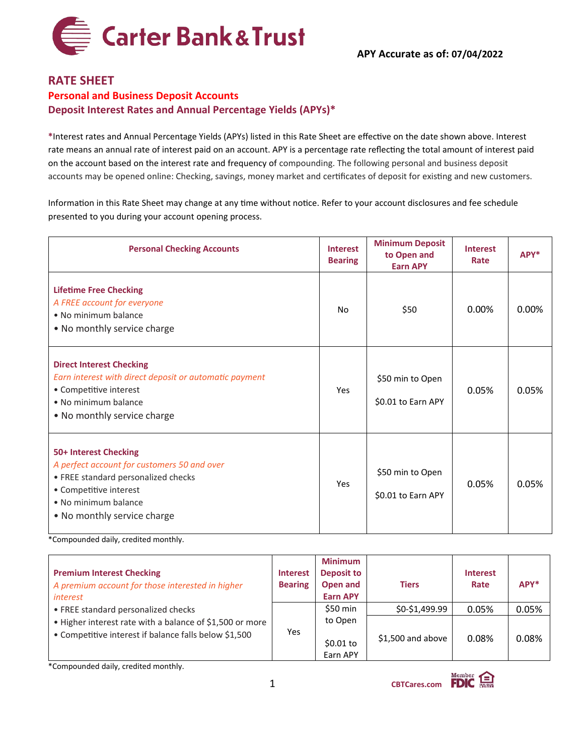

## **RATE SHEET Personal and Business Deposit Accounts Deposit Interest Rates and Annual Percentage Yields (APYs)\***

**\***Interest rates and Annual Percentage Yields (APYs) listed in this Rate Sheet are effective on the date shown above. Interest rate means an annual rate of interest paid on an account. APY is a percentage rate reflecting the total amount of interest paid on the account based on the interest rate and frequency of compounding. The following personal and business deposit accounts may be opened online: Checking, savings, money market and certificates of deposit for existing and new customers.

Information in this Rate Sheet may change at any time without notice. Refer to your account disclosures and fee schedule presented to you during your account opening process.

| <b>Personal Checking Accounts</b>                                                                                                                                                            | <b>Interest</b><br><b>Bearing</b> | <b>Minimum Deposit</b><br>to Open and<br><b>Earn APY</b> | <b>Interest</b><br>Rate | $APY*$   |
|----------------------------------------------------------------------------------------------------------------------------------------------------------------------------------------------|-----------------------------------|----------------------------------------------------------|-------------------------|----------|
| <b>Lifetime Free Checking</b><br>A FREE account for everyone<br>• No minimum balance<br>• No monthly service charge                                                                          | No                                | \$50                                                     | 0.00%                   | $0.00\%$ |
| <b>Direct Interest Checking</b><br>Earn interest with direct deposit or automatic payment<br>• Competitive interest<br>• No minimum balance<br>• No monthly service charge                   | Yes                               | \$50 min to Open<br>\$0.01 to Earn APY                   | 0.05%                   | 0.05%    |
| 50+ Interest Checking<br>A perfect account for customers 50 and over<br>• FREE standard personalized checks<br>• Competitive interest<br>• No minimum balance<br>• No monthly service charge | Yes                               | \$50 min to Open<br>\$0.01 to Earn APY                   | 0.05%                   | 0.05%    |

\*Compounded daily, credited monthly.

|                                                          |                 | <b>Minimum</b>    |                    |                 |       |
|----------------------------------------------------------|-----------------|-------------------|--------------------|-----------------|-------|
| <b>Premium Interest Checking</b>                         | <b>Interest</b> | <b>Deposit to</b> |                    | <b>Interest</b> |       |
| A premium account for those interested in higher         | <b>Bearing</b>  | Open and          | <b>Tiers</b>       | Rate            | APY*  |
| <i>interest</i>                                          |                 | <b>Earn APY</b>   |                    |                 |       |
| • FREE standard personalized checks                      |                 | \$50 min          | \$0-\$1.499.99     | 0.05%           | 0.05% |
| • Higher interest rate with a balance of \$1,500 or more |                 | to Open           |                    |                 |       |
| • Competitive interest if balance falls below \$1,500    | Yes             |                   | $$1,500$ and above | 0.08%           | 0.08% |
|                                                          |                 | $$0.01$ to        |                    |                 |       |
|                                                          |                 | Earn APY          |                    |                 |       |

\*Compounded daily, credited monthly.

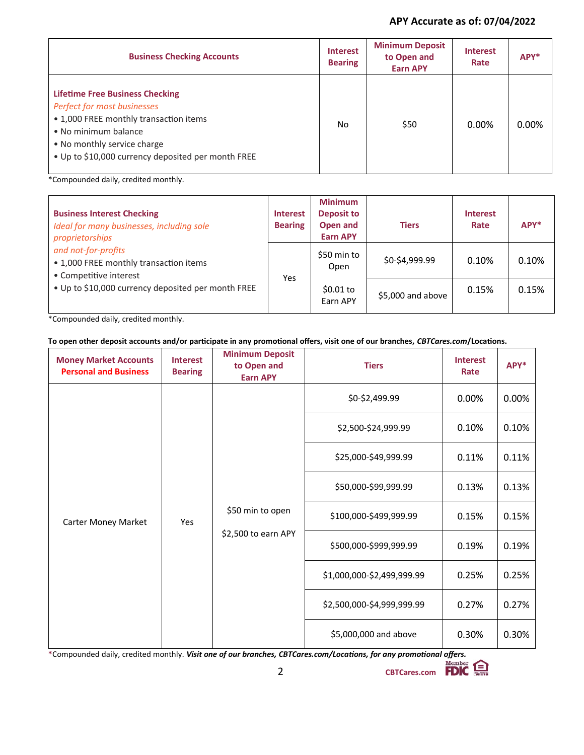## **APY Accurate as of: 07/04/2022**

| <b>Business Checking Accounts</b>                                                                                                                                                                                            | <b>Interest</b><br><b>Bearing</b> | <b>Minimum Deposit</b><br>to Open and<br><b>Earn APY</b> | <b>Interest</b><br>Rate | APY*  |
|------------------------------------------------------------------------------------------------------------------------------------------------------------------------------------------------------------------------------|-----------------------------------|----------------------------------------------------------|-------------------------|-------|
| <b>Lifetime Free Business Checking</b><br>Perfect for most businesses<br>• 1,000 FREE monthly transaction items<br>• No minimum balance<br>• No monthly service charge<br>. Up to \$10,000 currency deposited per month FREE | No.                               | \$50                                                     | 0.00%                   | 0.00% |

\*Compounded daily, credited monthly.

| <b>Business Interest Checking</b><br>Ideal for many businesses, including sole<br>proprietorships | <b>Interest</b><br><b>Bearing</b> | <b>Minimum</b><br><b>Deposit to</b><br>Open and<br><b>Earn APY</b> | <b>Tiers</b>      | <b>Interest</b><br>Rate | $APY^*$ |
|---------------------------------------------------------------------------------------------------|-----------------------------------|--------------------------------------------------------------------|-------------------|-------------------------|---------|
| and not-for-profits<br>• 1,000 FREE monthly transaction items<br>• Competitive interest           | Yes.                              | \$50 min to<br>Open                                                | \$0-\$4,999.99    | 0.10%                   | 0.10%   |
| • Up to \$10,000 currency deposited per month FREE                                                |                                   | \$0.01 to<br>Earn APY                                              | \$5,000 and above | 0.15%                   | 0.15%   |

\*Compounded daily, credited monthly.

## **To open other deposit accounts and/or participate in any promotional offers, visit one of our branches,** *CBTCares.com***/Locations.**

| <b>Money Market Accounts</b><br><b>Personal and Business</b>          | <b>Interest</b><br><b>Bearing</b> | <b>Minimum Deposit</b><br>to Open and<br><b>Earn APY</b> | <b>Tiers</b>           | <b>Interest</b><br>Rate | APY*  |
|-----------------------------------------------------------------------|-----------------------------------|----------------------------------------------------------|------------------------|-------------------------|-------|
| \$50 min to open<br>Carter Money Market<br>Yes<br>\$2,500 to earn APY |                                   | \$0-\$2,499.99                                           | 0.00%                  | 0.00%                   |       |
|                                                                       | \$2,500-\$24,999.99               | 0.10%                                                    | 0.10%                  |                         |       |
|                                                                       | \$25,000-\$49,999.99              | 0.11%                                                    | 0.11%                  |                         |       |
|                                                                       | \$50,000-\$99,999.99              | 0.13%                                                    | 0.13%                  |                         |       |
|                                                                       |                                   |                                                          | \$100,000-\$499,999.99 | 0.15%                   | 0.15% |
|                                                                       | \$500,000-\$999,999.99            | 0.19%                                                    | 0.19%                  |                         |       |
|                                                                       | \$1,000,000-\$2,499,999.99        | 0.25%                                                    | 0.25%                  |                         |       |
|                                                                       | \$2,500,000-\$4,999,999.99        | 0.27%                                                    | 0.27%                  |                         |       |
|                                                                       | \$5,000,000 and above             | 0.30%                                                    | 0.30%                  |                         |       |

**\***Compounded daily, credited monthly. *Visit one of our branches, CBTCares.com/Locations, for any promotional offers.*